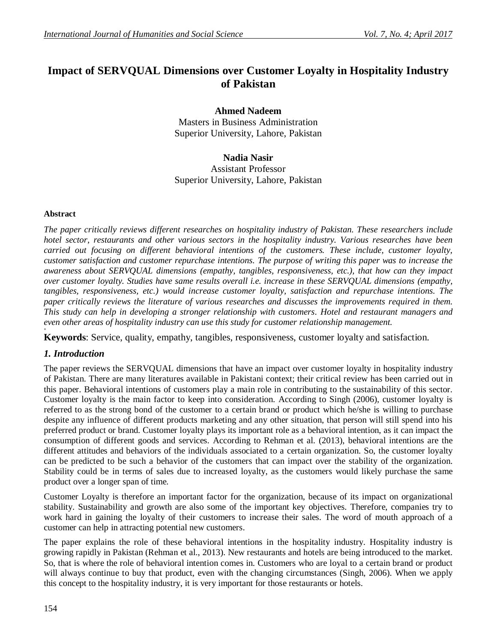# **Impact of SERVQUAL Dimensions over Customer Loyalty in Hospitality Industry of Pakistan**

**Ahmed Nadeem** Masters in Business Administration Superior University, Lahore, Pakistan

**Nadia Nasir** Assistant Professor Superior University, Lahore, Pakistan

#### **Abstract**

*The paper critically reviews different researches on hospitality industry of Pakistan. These researchers include hotel sector, restaurants and other various sectors in the hospitality industry. Various researches have been carried out focusing on different behavioral intentions of the customers. These include, customer loyalty, customer satisfaction and customer repurchase intentions. The purpose of writing this paper was to increase the awareness about SERVQUAL dimensions (empathy, tangibles, responsiveness, etc.), that how can they impact over customer loyalty. Studies have same results overall i.e. increase in these SERVQUAL dimensions (empathy, tangibles, responsiveness, etc.) would increase customer loyalty, satisfaction and repurchase intentions. The paper critically reviews the literature of various researches and discusses the improvements required in them. This study can help in developing a stronger relationship with customers. Hotel and restaurant managers and even other areas of hospitality industry can use this study for customer relationship management.* **+**

**Keywords**: Service, quality, empathy, tangibles, responsiveness, customer loyalty and satisfaction.

## *1. Introduction*

The paper reviews the SERVQUAL dimensions that have an impact over customer loyalty in hospitality industry of Pakistan. There are many literatures available in Pakistani context; their critical review has been carried out in this paper. Behavioral intentions of customers play a main role in contributing to the sustainability of this sector. Customer loyalty is the main factor to keep into consideration. According to Singh (2006), customer loyalty is referred to as the strong bond of the customer to a certain brand or product which he/she is willing to purchase despite any influence of different products marketing and any other situation, that person will still spend into his preferred product or brand. Customer loyalty plays its important role as a behavioral intention, as it can impact the consumption of different goods and services. According to Rehman et al. (2013), behavioral intentions are the different attitudes and behaviors of the individuals associated to a certain organization. So, the customer loyalty can be predicted to be such a behavior of the customers that can impact over the stability of the organization. Stability could be in terms of sales due to increased loyalty, as the customers would likely purchase the same product over a longer span of time.

Customer Loyalty is therefore an important factor for the organization, because of its impact on organizational stability. Sustainability and growth are also some of the important key objectives. Therefore, companies try to work hard in gaining the loyalty of their customers to increase their sales. The word of mouth approach of a customer can help in attracting potential new customers.

The paper explains the role of these behavioral intentions in the hospitality industry. Hospitality industry is growing rapidly in Pakistan (Rehman et al., 2013). New restaurants and hotels are being introduced to the market. So, that is where the role of behavioral intention comes in. Customers who are loyal to a certain brand or product will always continue to buy that product, even with the changing circumstances (Singh, 2006). When we apply this concept to the hospitality industry, it is very important for those restaurants or hotels.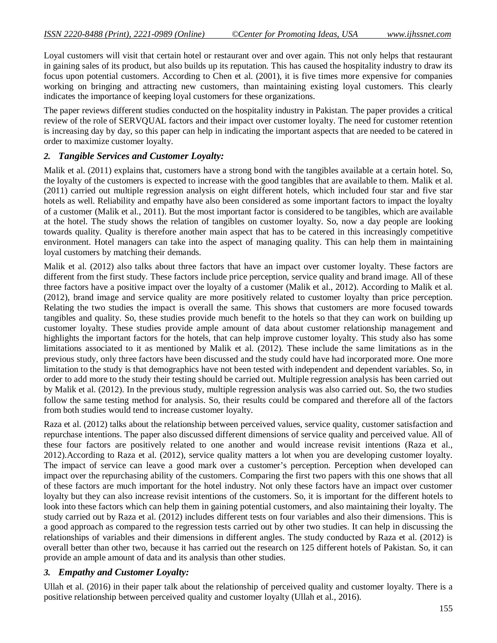Loyal customers will visit that certain hotel or restaurant over and over again. This not only helps that restaurant in gaining sales of its product, but also builds up its reputation. This has caused the hospitality industry to draw its focus upon potential customers. According to Chen et al. (2001), it is five times more expensive for companies working on bringing and attracting new customers, than maintaining existing loyal customers. This clearly indicates the importance of keeping loyal customers for these organizations.

The paper reviews different studies conducted on the hospitality industry in Pakistan. The paper provides a critical review of the role of SERVQUAL factors and their impact over customer loyalty. The need for customer retention is increasing day by day, so this paper can help in indicating the important aspects that are needed to be catered in order to maximize customer loyalty.

#### *2. Tangible Services and Customer Loyalty:*

Malik et al. (2011) explains that, customers have a strong bond with the tangibles available at a certain hotel. So, the loyalty of the customers is expected to increase with the good tangibles that are available to them. Malik et al. (2011) carried out multiple regression analysis on eight different hotels, which included four star and five star hotels as well. Reliability and empathy have also been considered as some important factors to impact the loyalty of a customer (Malik et al., 2011). But the most important factor is considered to be tangibles, which are available at the hotel. The study shows the relation of tangibles on customer loyalty. So, now a day people are looking towards quality. Quality is therefore another main aspect that has to be catered in this increasingly competitive environment. Hotel managers can take into the aspect of managing quality. This can help them in maintaining loyal customers by matching their demands.

Malik et al. (2012) also talks about three factors that have an impact over customer loyalty. These factors are different from the first study. These factors include price perception, service quality and brand image. All of these three factors have a positive impact over the loyalty of a customer (Malik et al., 2012). According to Malik et al. (2012), brand image and service quality are more positively related to customer loyalty than price perception. Relating the two studies the impact is overall the same. This shows that customers are more focused towards tangibles and quality. So, these studies provide much benefit to the hotels so that they can work on building up customer loyalty. These studies provide ample amount of data about customer relationship management and highlights the important factors for the hotels, that can help improve customer loyalty. This study also has some limitations associated to it as mentioned by Malik et al. (2012). These include the same limitations as in the previous study, only three factors have been discussed and the study could have had incorporated more. One more limitation to the study is that demographics have not been tested with independent and dependent variables. So, in order to add more to the study their testing should be carried out. Multiple regression analysis has been carried out by Malik et al. (2012). In the previous study, multiple regression analysis was also carried out. So, the two studies follow the same testing method for analysis. So, their results could be compared and therefore all of the factors from both studies would tend to increase customer loyalty.

Raza et al. (2012) talks about the relationship between perceived values, service quality, customer satisfaction and repurchase intentions. The paper also discussed different dimensions of service quality and perceived value. All of these four factors are positively related to one another and would increase revisit intentions (Raza et al., 2012).According to Raza et al. (2012), service quality matters a lot when you are developing customer loyalty. The impact of service can leave a good mark over a customer's perception. Perception when developed can impact over the repurchasing ability of the customers. Comparing the first two papers with this one shows that all of these factors are much important for the hotel industry. Not only these factors have an impact over customer loyalty but they can also increase revisit intentions of the customers. So, it is important for the different hotels to look into these factors which can help them in gaining potential customers, and also maintaining their loyalty. The study carried out by Raza et al. (2012) includes different tests on four variables and also their dimensions. This is a good approach as compared to the regression tests carried out by other two studies. It can help in discussing the relationships of variables and their dimensions in different angles. The study conducted by Raza et al. (2012) is overall better than other two, because it has carried out the research on 125 different hotels of Pakistan. So, it can provide an ample amount of data and its analysis than other studies.

## *3. Empathy and Customer Loyalty:*

Ullah et al. (2016) in their paper talk about the relationship of perceived quality and customer loyalty. There is a positive relationship between perceived quality and customer loyalty (Ullah et al., 2016).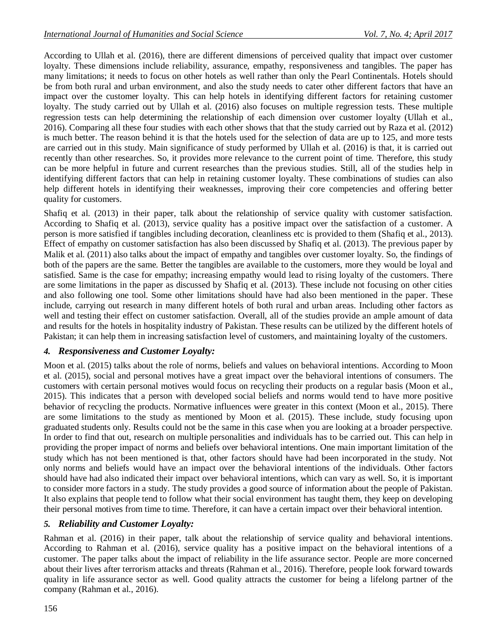According to Ullah et al. (2016), there are different dimensions of perceived quality that impact over customer loyalty. These dimensions include reliability, assurance, empathy, responsiveness and tangibles. The paper has many limitations; it needs to focus on other hotels as well rather than only the Pearl Continentals. Hotels should be from both rural and urban environment, and also the study needs to cater other different factors that have an impact over the customer loyalty. This can help hotels in identifying different factors for retaining customer loyalty. The study carried out by Ullah et al. (2016) also focuses on multiple regression tests. These multiple regression tests can help determining the relationship of each dimension over customer loyalty (Ullah et al., 2016). Comparing all these four studies with each other shows that that the study carried out by Raza et al. (2012) is much better. The reason behind it is that the hotels used for the selection of data are up to 125, and more tests are carried out in this study. Main significance of study performed by Ullah et al. (2016) is that, it is carried out recently than other researches. So, it provides more relevance to the current point of time. Therefore, this study can be more helpful in future and current researches than the previous studies. Still, all of the studies help in identifying different factors that can help in retaining customer loyalty. These combinations of studies can also help different hotels in identifying their weaknesses, improving their core competencies and offering better quality for customers.

Shafiq et al. (2013) in their paper, talk about the relationship of service quality with customer satisfaction. According to Shafiq et al. (2013), service quality has a positive impact over the satisfaction of a customer. A person is more satisfied if tangibles including decoration, cleanliness etc is provided to them (Shafiq et al., 2013). Effect of empathy on customer satisfaction has also been discussed by Shafiq et al. (2013). The previous paper by Malik et al. (2011) also talks about the impact of empathy and tangibles over customer loyalty. So, the findings of both of the papers are the same. Better the tangibles are available to the customers, more they would be loyal and satisfied. Same is the case for empathy; increasing empathy would lead to rising loyalty of the customers. There are some limitations in the paper as discussed by Shafiq et al. (2013). These include not focusing on other cities and also following one tool. Some other limitations should have had also been mentioned in the paper. These include, carrying out research in many different hotels of both rural and urban areas. Including other factors as well and testing their effect on customer satisfaction. Overall, all of the studies provide an ample amount of data and results for the hotels in hospitality industry of Pakistan. These results can be utilized by the different hotels of Pakistan; it can help them in increasing satisfaction level of customers, and maintaining loyalty of the customers.

# *4. Responsiveness and Customer Loyalty:*

Moon et al. (2015) talks about the role of norms, beliefs and values on behavioral intentions. According to Moon et al. (2015), social and personal motives have a great impact over the behavioral intentions of consumers. The customers with certain personal motives would focus on recycling their products on a regular basis (Moon et al., 2015). This indicates that a person with developed social beliefs and norms would tend to have more positive behavior of recycling the products. Normative influences were greater in this context (Moon et al., 2015). There are some limitations to the study as mentioned by Moon et al. (2015). These include, study focusing upon graduated students only. Results could not be the same in this case when you are looking at a broader perspective. In order to find that out, research on multiple personalities and individuals has to be carried out. This can help in providing the proper impact of norms and beliefs over behavioral intentions. One main important limitation of the study which has not been mentioned is that, other factors should have had been incorporated in the study. Not only norms and beliefs would have an impact over the behavioral intentions of the individuals. Other factors should have had also indicated their impact over behavioral intentions, which can vary as well. So, it is important to consider more factors in a study. The study provides a good source of information about the people of Pakistan. It also explains that people tend to follow what their social environment has taught them, they keep on developing their personal motives from time to time. Therefore, it can have a certain impact over their behavioral intention.

# *5. Reliability and Customer Loyalty:*

Rahman et al. (2016) in their paper, talk about the relationship of service quality and behavioral intentions. According to Rahman et al. (2016), service quality has a positive impact on the behavioral intentions of a customer. The paper talks about the impact of reliability in the life assurance sector. People are more concerned about their lives after terrorism attacks and threats (Rahman et al., 2016). Therefore, people look forward towards quality in life assurance sector as well. Good quality attracts the customer for being a lifelong partner of the company (Rahman et al., 2016).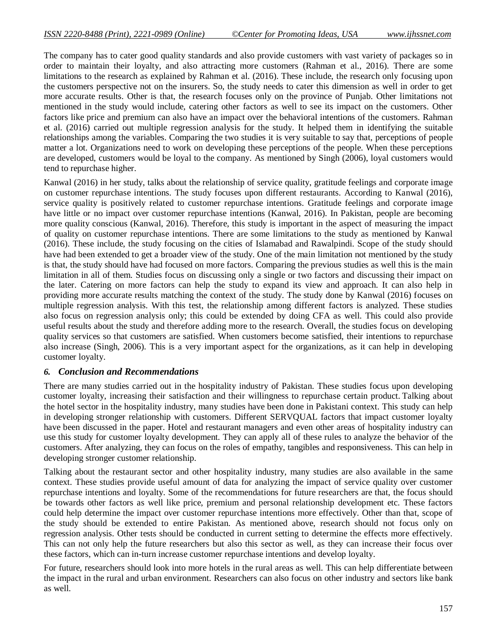The company has to cater good quality standards and also provide customers with vast variety of packages so in order to maintain their loyalty, and also attracting more customers (Rahman et al., 2016). There are some limitations to the research as explained by Rahman et al. (2016). These include, the research only focusing upon the customers perspective not on the insurers. So, the study needs to cater this dimension as well in order to get more accurate results. Other is that, the research focuses only on the province of Punjab. Other limitations not mentioned in the study would include, catering other factors as well to see its impact on the customers. Other factors like price and premium can also have an impact over the behavioral intentions of the customers. Rahman et al. (2016) carried out multiple regression analysis for the study. It helped them in identifying the suitable relationships among the variables. Comparing the two studies it is very suitable to say that, perceptions of people matter a lot. Organizations need to work on developing these perceptions of the people. When these perceptions are developed, customers would be loyal to the company. As mentioned by Singh (2006), loyal customers would tend to repurchase higher.

Kanwal (2016) in her study, talks about the relationship of service quality, gratitude feelings and corporate image on customer repurchase intentions. The study focuses upon different restaurants. According to Kanwal (2016), service quality is positively related to customer repurchase intentions. Gratitude feelings and corporate image have little or no impact over customer repurchase intentions (Kanwal, 2016). In Pakistan, people are becoming more quality conscious (Kanwal, 2016). Therefore, this study is important in the aspect of measuring the impact of quality on customer repurchase intentions. There are some limitations to the study as mentioned by Kanwal (2016). These include, the study focusing on the cities of Islamabad and Rawalpindi. Scope of the study should have had been extended to get a broader view of the study. One of the main limitation not mentioned by the study is that, the study should have had focused on more factors. Comparing the previous studies as well this is the main limitation in all of them. Studies focus on discussing only a single or two factors and discussing their impact on the later. Catering on more factors can help the study to expand its view and approach. It can also help in providing more accurate results matching the context of the study. The study done by Kanwal (2016) focuses on multiple regression analysis. With this test, the relationship among different factors is analyzed. These studies also focus on regression analysis only; this could be extended by doing CFA as well. This could also provide useful results about the study and therefore adding more to the research. Overall, the studies focus on developing quality services so that customers are satisfied. When customers become satisfied, their intentions to repurchase also increase (Singh, 2006). This is a very important aspect for the organizations, as it can help in developing customer loyalty.

## *6. Conclusion and Recommendations*

There are many studies carried out in the hospitality industry of Pakistan. These studies focus upon developing customer loyalty, increasing their satisfaction and their willingness to repurchase certain product. Talking about the hotel sector in the hospitality industry, many studies have been done in Pakistani context. This study can help in developing stronger relationship with customers. Different SERVQUAL factors that impact customer loyalty have been discussed in the paper. Hotel and restaurant managers and even other areas of hospitality industry can use this study for customer loyalty development. They can apply all of these rules to analyze the behavior of the customers. After analyzing, they can focus on the roles of empathy, tangibles and responsiveness. This can help in developing stronger customer relationship.

Talking about the restaurant sector and other hospitality industry, many studies are also available in the same context. These studies provide useful amount of data for analyzing the impact of service quality over customer repurchase intentions and loyalty. Some of the recommendations for future researchers are that, the focus should be towards other factors as well like price, premium and personal relationship development etc. These factors could help determine the impact over customer repurchase intentions more effectively. Other than that, scope of the study should be extended to entire Pakistan. As mentioned above, research should not focus only on regression analysis. Other tests should be conducted in current setting to determine the effects more effectively. This can not only help the future researchers but also this sector as well, as they can increase their focus over these factors, which can in-turn increase customer repurchase intentions and develop loyalty.

For future, researchers should look into more hotels in the rural areas as well. This can help differentiate between the impact in the rural and urban environment. Researchers can also focus on other industry and sectors like bank as well.